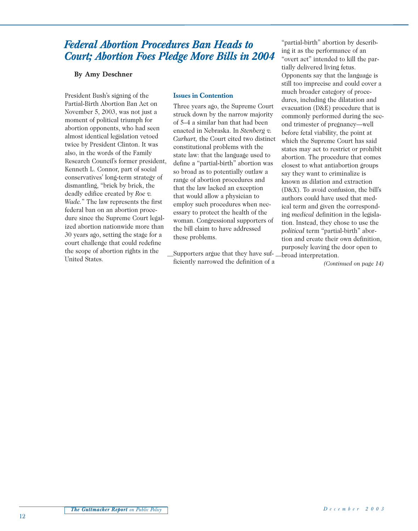# *Federal Abortion Procedures Ban Heads to Court; Abortion Foes Pledge More Bills in 2004*

#### **By Amy Deschner**

President Bush's signing of the Partial-Birth Abortion Ban Act on November 5, 2003, was not just a moment of political triumph for abortion opponents, who had seen almost identical legislation vetoed twice by President Clinton. It was also, in the words of the Family Research Council's former president, Kenneth L. Connor, part of social conservatives' long-term strategy of dismantling, "brick by brick, the deadly edifice created by *Roe v. Wade.*" The law represents the first federal ban on an abortion procedure since the Supreme Court legalized abortion nationwide more than 30 years ago, setting the stage for a court challenge that could redefine the scope of abortion rights in the United States.

### **Issues in Contention**

Three years ago, the Supreme Court struck down by the narrow majority of 5–4 a similar ban that had been enacted in Nebraska. In *Stenberg v. Carhart,* the Court cited two distinct constitutional problems with the state law: that the language used to define a "partial-birth" abortion was so broad as to potentially outlaw a range of abortion procedures and that the law lacked an exception that would allow a physician to employ such procedures when necessary to protect the health of the woman. Congressional supporters of the bill claim to have addressed these problems.

Supporters argue that they have sufficiently narrowed the definition of a

"partial-birth" abortion by describing it as the performance of an "overt act" intended to kill the partially delivered living fetus. Opponents say that the language is still too imprecise and could cover a much broader category of procedures, including the dilatation and evacuation (D&E) procedure that is commonly performed during the second trimester of pregnancy—well before fetal viability, the point at which the Supreme Court has said states may act to restrict or prohibit abortion. The procedure that comes closest to what antiabortion groups say they want to criminalize is known as dilation and extraction (D&X). To avoid confusion, the bill's authors could have used that medical term and given the corresponding *medical* definition in the legislation. Instead, they chose to use the *political* term "partial-birth" abortion and create their own definition, purposely leaving the door open to broad interpretation.

*(Continued on page 14)*